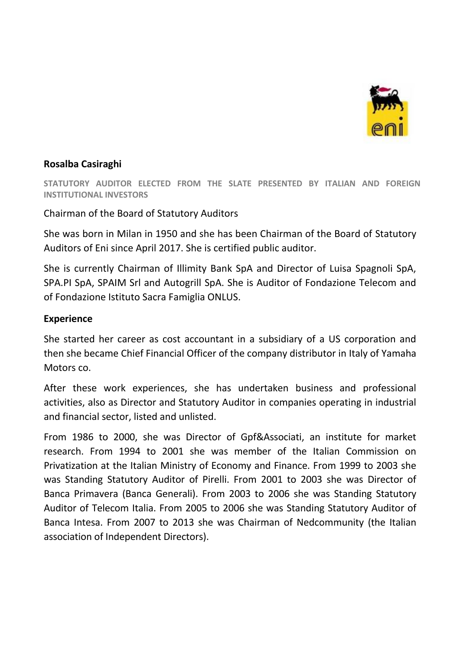

## **Rosalba Casiraghi**

**STATUTORY AUDITOR ELECTED FROM THE SLATE PRESENTED BY ITALIAN AND FOREIGN INSTITUTIONAL INVESTORS**

## Chairman of the Board of Statutory Auditors

She was born in Milan in 1950 and she has been Chairman of the Board of Statutory Auditors of Eni since April 2017. She is certified public auditor.

She is currently Chairman of Illimity Bank SpA and Director of Luisa Spagnoli SpA, SPA.PI SpA, SPAIM Srl and Autogrill SpA. She is Auditor of Fondazione Telecom and of Fondazione Istituto Sacra Famiglia ONLUS.

## **Experience**

She started her career as cost accountant in a subsidiary of a US corporation and then she became Chief Financial Officer of the company distributor in Italy of Yamaha Motors co.

After these work experiences, she has undertaken business and professional activities, also as Director and Statutory Auditor in companies operating in industrial and financial sector, listed and unlisted.

From 1986 to 2000, she was Director of Gpf&Associati, an institute for market research. From 1994 to 2001 she was member of the Italian Commission on Privatization at the Italian Ministry of Economy and Finance. From 1999 to 2003 she was Standing Statutory Auditor of Pirelli. From 2001 to 2003 she was Director of Banca Primavera (Banca Generali). From 2003 to 2006 she was Standing Statutory Auditor of Telecom Italia. From 2005 to 2006 she was Standing Statutory Auditor of Banca Intesa. From 2007 to 2013 she was Chairman of Nedcommunity (the Italian association of Independent Directors).